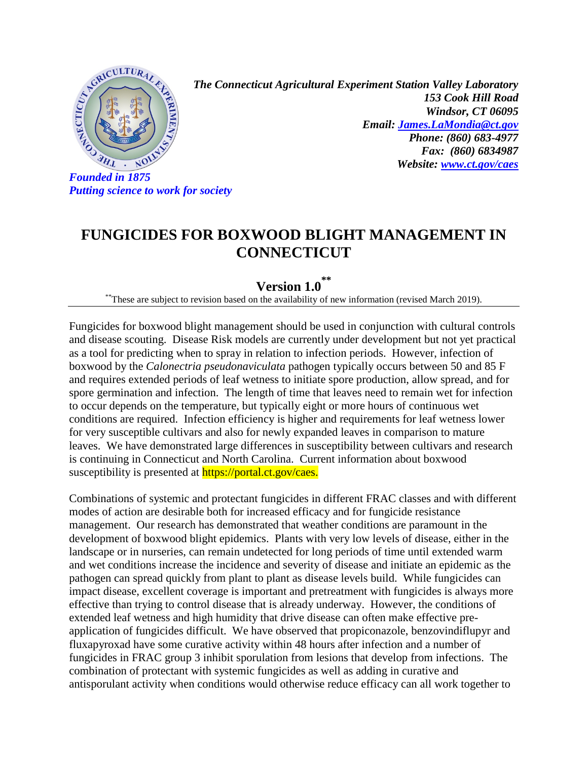

*Putting science to work for society* 

*The Connecticut Agricultural Experiment Station Valley Laboratory 153 Cook Hill Road Windsor, CT 06095 Email: [James.LaMondia@ct.gov](mailto:James.LaMondia@ct.gov) Phone: (860) 683-4977 Fax: (860) 6834987 Website: [www.ct.gov/caes](http://www.ct.gov/caes)*

## **FUNGICIDES FOR BOXWOOD BLIGHT MANAGEMENT IN CONNECTICUT**

## **Version 1.0 \*\***

\*\*These are subject to revision based on the availability of new information (revised March 2019).

Fungicides for boxwood blight management should be used in conjunction with cultural controls and disease scouting. Disease Risk models are currently under development but not yet practical as a tool for predicting when to spray in relation to infection periods. However, infection of boxwood by the *Calonectria pseudonaviculata* pathogen typically occurs between 50 and 85 F and requires extended periods of leaf wetness to initiate spore production, allow spread, and for spore germination and infection. The length of time that leaves need to remain wet for infection to occur depends on the temperature, but typically eight or more hours of continuous wet conditions are required. Infection efficiency is higher and requirements for leaf wetness lower for very susceptible cultivars and also for newly expanded leaves in comparison to mature leaves. We have demonstrated large differences in susceptibility between cultivars and research is continuing in Connecticut and North Carolina. Current information about boxwood susceptibility is presented at **https://portal.ct.gov/caes.** 

Combinations of systemic and protectant fungicides in different FRAC classes and with different modes of action are desirable both for increased efficacy and for fungicide resistance management. Our research has demonstrated that weather conditions are paramount in the development of boxwood blight epidemics. Plants with very low levels of disease, either in the landscape or in nurseries, can remain undetected for long periods of time until extended warm and wet conditions increase the incidence and severity of disease and initiate an epidemic as the pathogen can spread quickly from plant to plant as disease levels build. While fungicides can impact disease, excellent coverage is important and pretreatment with fungicides is always more effective than trying to control disease that is already underway. However, the conditions of extended leaf wetness and high humidity that drive disease can often make effective preapplication of fungicides difficult. We have observed that propiconazole, benzovindiflupyr and fluxapyroxad have some curative activity within 48 hours after infection and a number of fungicides in FRAC group 3 inhibit sporulation from lesions that develop from infections. The combination of protectant with systemic fungicides as well as adding in curative and antisporulant activity when conditions would otherwise reduce efficacy can all work together to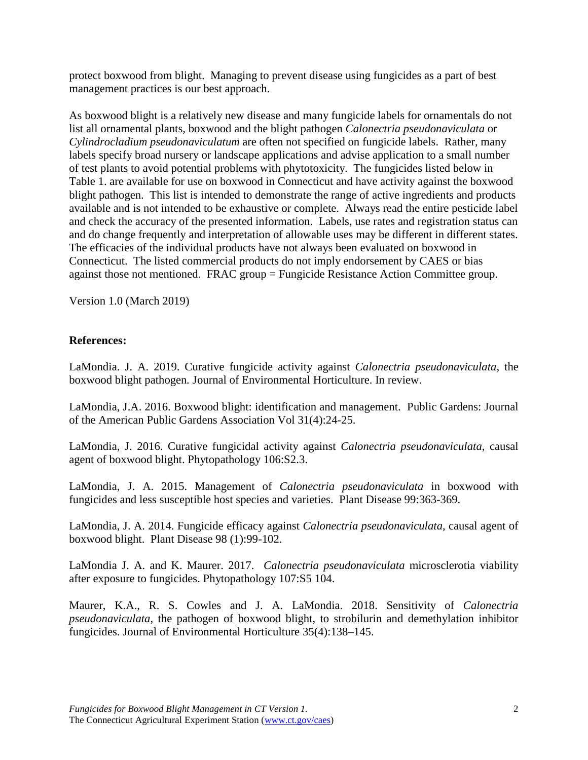protect boxwood from blight. Managing to prevent disease using fungicides as a part of best management practices is our best approach.

As boxwood blight is a relatively new disease and many fungicide labels for ornamentals do not list all ornamental plants, boxwood and the blight pathogen *Calonectria pseudonaviculata* or *Cylindrocladium pseudonaviculatum* are often not specified on fungicide labels. Rather, many labels specify broad nursery or landscape applications and advise application to a small number of test plants to avoid potential problems with phytotoxicity. The fungicides listed below in Table 1. are available for use on boxwood in Connecticut and have activity against the boxwood blight pathogen. This list is intended to demonstrate the range of active ingredients and products available and is not intended to be exhaustive or complete. Always read the entire pesticide label and check the accuracy of the presented information. Labels, use rates and registration status can and do change frequently and interpretation of allowable uses may be different in different states. The efficacies of the individual products have not always been evaluated on boxwood in Connecticut. The listed commercial products do not imply endorsement by CAES or bias against those not mentioned. FRAC group = Fungicide Resistance Action Committee group.

Version 1.0 (March 2019)

## **References:**

LaMondia. J. A. 2019. Curative fungicide activity against *Calonectria pseudonaviculata,* the boxwood blight pathogen*.* Journal of Environmental Horticulture. In review.

LaMondia, J.A. 2016. Boxwood blight: identification and management. Public Gardens: Journal of the American Public Gardens Association Vol 31(4):24-25.

LaMondia, J. 2016. Curative fungicidal activity against *Calonectria pseudonaviculata*, causal agent of boxwood blight. Phytopathology 106:S2.3.

LaMondia, J. A. 2015. Management of *Calonectria pseudonaviculata* in boxwood with fungicides and less susceptible host species and varieties. Plant Disease 99:363-369.

LaMondia, J. A. 2014. Fungicide efficacy against *Calonectria pseudonaviculata*, causal agent of boxwood blight. Plant Disease 98 (1):99-102.

LaMondia J. A. and K. Maurer. 2017. *Calonectria pseudonaviculata* microsclerotia viability after exposure to fungicides. Phytopathology 107:S5 104.

Maurer, K.A., R. S. Cowles and J. A. LaMondia. 2018. Sensitivity of *Calonectria pseudonaviculata*, the pathogen of boxwood blight, to strobilurin and demethylation inhibitor fungicides. Journal of Environmental Horticulture 35(4):138–145.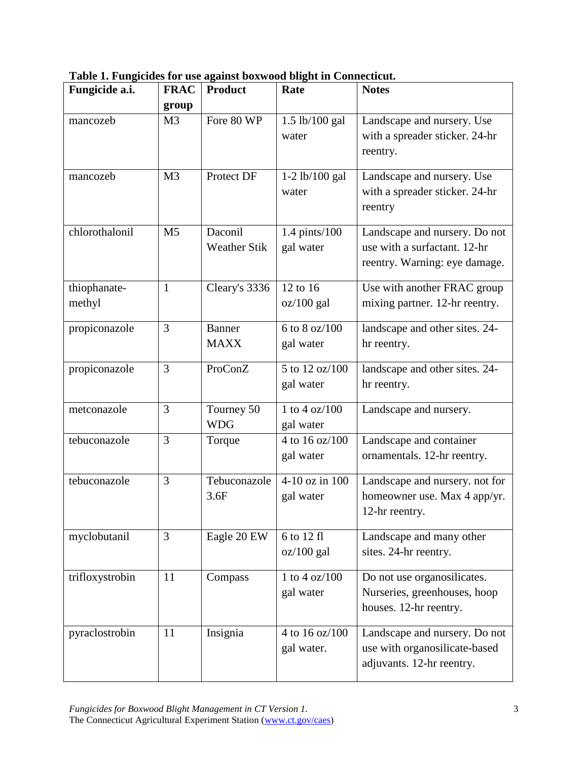| Table 1. Fungicides for use against boxwood blight in Connecticut. |  |  |  |
|--------------------------------------------------------------------|--|--|--|
|                                                                    |  |  |  |

| Fungicide a.i.         | <b>FRAC</b><br>group | <b>Product</b>                 | Rate                         | <b>Notes</b>                                                                                   |
|------------------------|----------------------|--------------------------------|------------------------------|------------------------------------------------------------------------------------------------|
| mancozeb               | M <sub>3</sub>       | Fore 80 WP                     | 1.5 lb/100 gal<br>water      | Landscape and nursery. Use<br>with a spreader sticker. 24-hr<br>reentry.                       |
| mancozeb               | M <sub>3</sub>       | Protect DF                     | $1-2$ lb/100 gal<br>water    | Landscape and nursery. Use<br>with a spreader sticker. 24-hr<br>reentry                        |
| chlorothalonil         | M <sub>5</sub>       | Daconil<br><b>Weather Stik</b> | 1.4 pints/100<br>gal water   | Landscape and nursery. Do not<br>use with a surfactant. 12-hr<br>reentry. Warning: eye damage. |
| thiophanate-<br>methyl | $\mathbf{1}$         | Cleary's 3336                  | 12 to 16<br>$oz/100$ gal     | Use with another FRAC group<br>mixing partner. 12-hr reentry.                                  |
| propiconazole          | 3                    | Banner<br><b>MAXX</b>          | 6 to 8 oz/100<br>gal water   | landscape and other sites. 24-<br>hr reentry.                                                  |
| propiconazole          | 3                    | ProConZ                        | 5 to 12 oz/100<br>gal water  | landscape and other sites. 24-<br>hr reentry.                                                  |
| metconazole            | 3                    | Tourney 50<br><b>WDG</b>       | 1 to 4 oz/100<br>gal water   | Landscape and nursery.                                                                         |
| tebuconazole           | 3                    | Torque                         | 4 to 16 oz/100<br>gal water  | Landscape and container<br>ornamentals. 12-hr reentry.                                         |
| tebuconazole           | 3                    | Tebuconazole<br>3.6F           | 4-10 oz in 100<br>gal water  | Landscape and nursery. not for<br>homeowner use. Max 4 app/yr.<br>12-hr reentry.               |
| myclobutanil           | 3                    | Eagle 20 EW                    | 6 to 12 fl<br>$oz/100$ gal   | Landscape and many other<br>sites. 24-hr reentry.                                              |
| trifloxystrobin        | 11                   | Compass                        | 1 to 4 oz/100<br>gal water   | Do not use organosilicates.<br>Nurseries, greenhouses, hoop<br>houses. 12-hr reentry.          |
| pyraclostrobin         | 11                   | Insignia                       | 4 to 16 oz/100<br>gal water. | Landscape and nursery. Do not<br>use with organosilicate-based<br>adjuvants. 12-hr reentry.    |